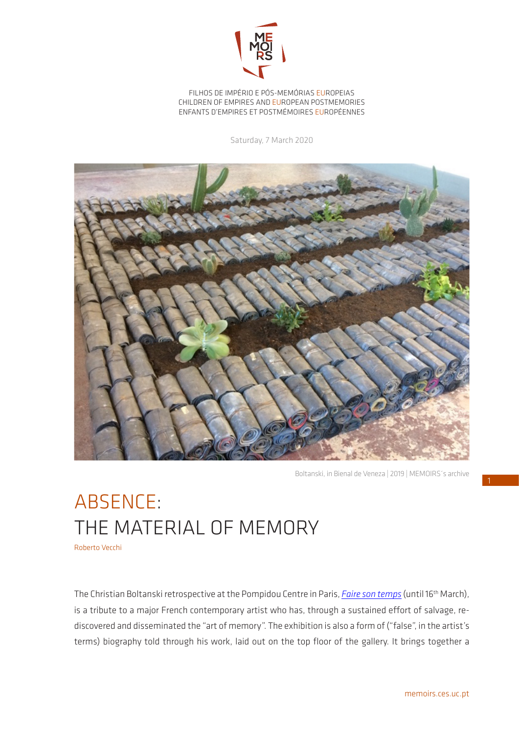

FILHOS DE IMPÉRIO E PÓS-MEMÓRIAS EUROPEIAS CHILDREN OF EMPIRES AND EUROPEAN POSTMEMORIES ENFANTS D'EMPIRES ET POSTMÉMOIRES EUROPÉENNES

Saturday, 7 March 2020



Boltanski, in Bienal de Veneza | 2019 | MEMOIRS´s archive

## ABSENCE: THE MATERIAL OF MEMORY

Roberto Vecchi

The Christian Boltanski retrospective at the Pompidou Centre in Paris, *[Faire son temps](https://www.centrepompidou.fr/cpv/agenda/event.action?param.id=FR_R-923dc3544a7f9d4b17cd6b64be8382ed¶m.idSource=FR_E-923dc3544a7f9d4b17cd6b64be8382ed)* (until 16th March), is a tribute to a major French contemporary artist who has, through a sustained effort of salvage, rediscovered and disseminated the "art of memory". The exhibition is also a form of ("false", in the artist's terms) biography told through his work, laid out on the top floor of the gallery. It brings together a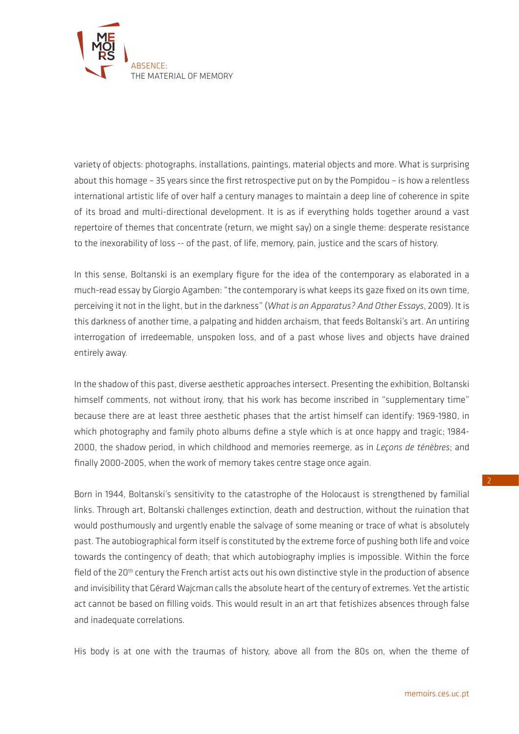

variety of objects: photographs, installations, paintings, material objects and more. What is surprising about this homage – 35 years since the first retrospective put on by the Pompidou – is how a relentless international artistic life of over half a century manages to maintain a deep line of coherence in spite of its broad and multi-directional development. It is as if everything holds together around a vast repertoire of themes that concentrate (return, we might say) on a single theme: desperate resistance to the inexorability of loss -- of the past, of life, memory, pain, justice and the scars of history.

In this sense, Boltanski is an exemplary figure for the idea of the contemporary as elaborated in a much-read essay by Giorgio Agamben: "the contemporary is what keeps its gaze fixed on its own time, perceiving it not in the light, but in the darkness" (*What is an Apparatus? And Other Essays*, 2009). It is this darkness of another time, a palpating and hidden archaism, that feeds Boltanski's art. An untiring interrogation of irredeemable, unspoken loss, and of a past whose lives and objects have drained entirely away.

In the shadow of this past, diverse aesthetic approaches intersect. Presenting the exhibition, Boltanski himself comments, not without irony, that his work has become inscribed in "supplementary time" because there are at least three aesthetic phases that the artist himself can identify: 1969-1980, in which photography and family photo albums define a style which is at once happy and tragic; 1984- 2000, the shadow period, in which childhood and memories reemerge, as in *Leçons de ténèbres*; and finally 2000-2005, when the work of memory takes centre stage once again.

Born in 1944, Boltanski's sensitivity to the catastrophe of the Holocaust is strengthened by familial links. Through art, Boltanski challenges extinction, death and destruction, without the ruination that would posthumously and urgently enable the salvage of some meaning or trace of what is absolutely past. The autobiographical form itself is constituted by the extreme force of pushing both life and voice towards the contingency of death; that which autobiography implies is impossible. Within the force field of the 20<sup>th</sup> century the French artist acts out his own distinctive style in the production of absence and invisibility that Gérard Wajcman calls the absolute heart of the century of extremes. Yet the artistic act cannot be based on filling voids. This would result in an art that fetishizes absences through false and inadequate correlations.

His body is at one with the traumas of history, above all from the 80s on, when the theme of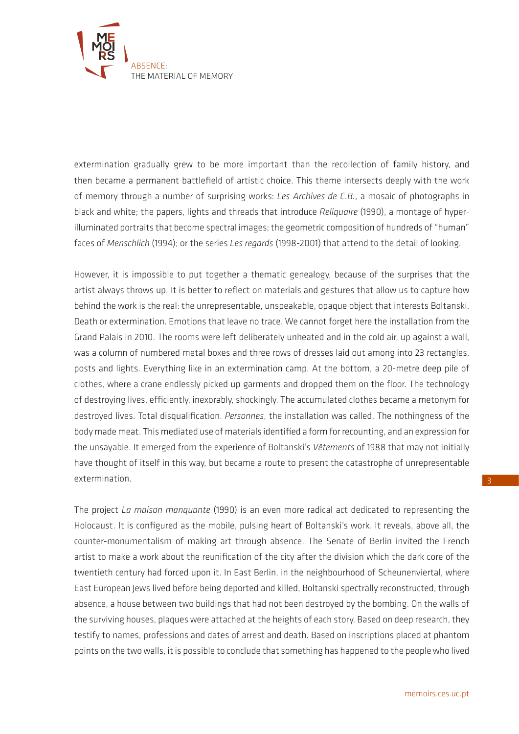

extermination gradually grew to be more important than the recollection of family history, and then became a permanent battlefield of artistic choice. This theme intersects deeply with the work of memory through a number of surprising works: *Les Archives de C.B.*, a mosaic of photographs in black and white; the papers, lights and threads that introduce *Reliquaire* (1990), a montage of hyperilluminated portraits that become spectral images; the geometric composition of hundreds of "human" faces of *Menschlich* (1994); or the series *Les regards* (1998-2001) that attend to the detail of looking.

However, it is impossible to put together a thematic genealogy, because of the surprises that the artist always throws up. It is better to reflect on materials and gestures that allow us to capture how behind the work is the real: the unrepresentable, unspeakable, opaque object that interests Boltanski. Death or extermination. Emotions that leave no trace. We cannot forget here the installation from the Grand Palais in 2010. The rooms were left deliberately unheated and in the cold air, up against a wall, was a column of numbered metal boxes and three rows of dresses laid out among into 23 rectangles, posts and lights. Everything like in an extermination camp. At the bottom, a 20-metre deep pile of clothes, where a crane endlessly picked up garments and dropped them on the floor. The technology of destroying lives, efficiently, inexorably, shockingly. The accumulated clothes became a metonym for destroyed lives. Total disqualification. *Personnes*, the installation was called. The nothingness of the body made meat. This mediated use of materials identified a form for recounting, and an expression for the unsayable. It emerged from the experience of Boltanski's *Vêtements* of 1988 that may not initially have thought of itself in this way, but became a route to present the catastrophe of unrepresentable extermination.

The project *La maison manquante* (1990) is an even more radical act dedicated to representing the Holocaust. It is configured as the mobile, pulsing heart of Boltanski's work. It reveals, above all, the counter-monumentalism of making art through absence. The Senate of Berlin invited the French artist to make a work about the reunification of the city after the division which the dark core of the twentieth century had forced upon it. In East Berlin, in the neighbourhood of Scheunenviertal, where East European Jews lived before being deported and killed, Boltanski spectrally reconstructed, through absence, a house between two buildings that had not been destroyed by the bombing. On the walls of the surviving houses, plaques were attached at the heights of each story. Based on deep research, they testify to names, professions and dates of arrest and death. Based on inscriptions placed at phantom points on the two walls, it is possible to conclude that something has happened to the people who lived